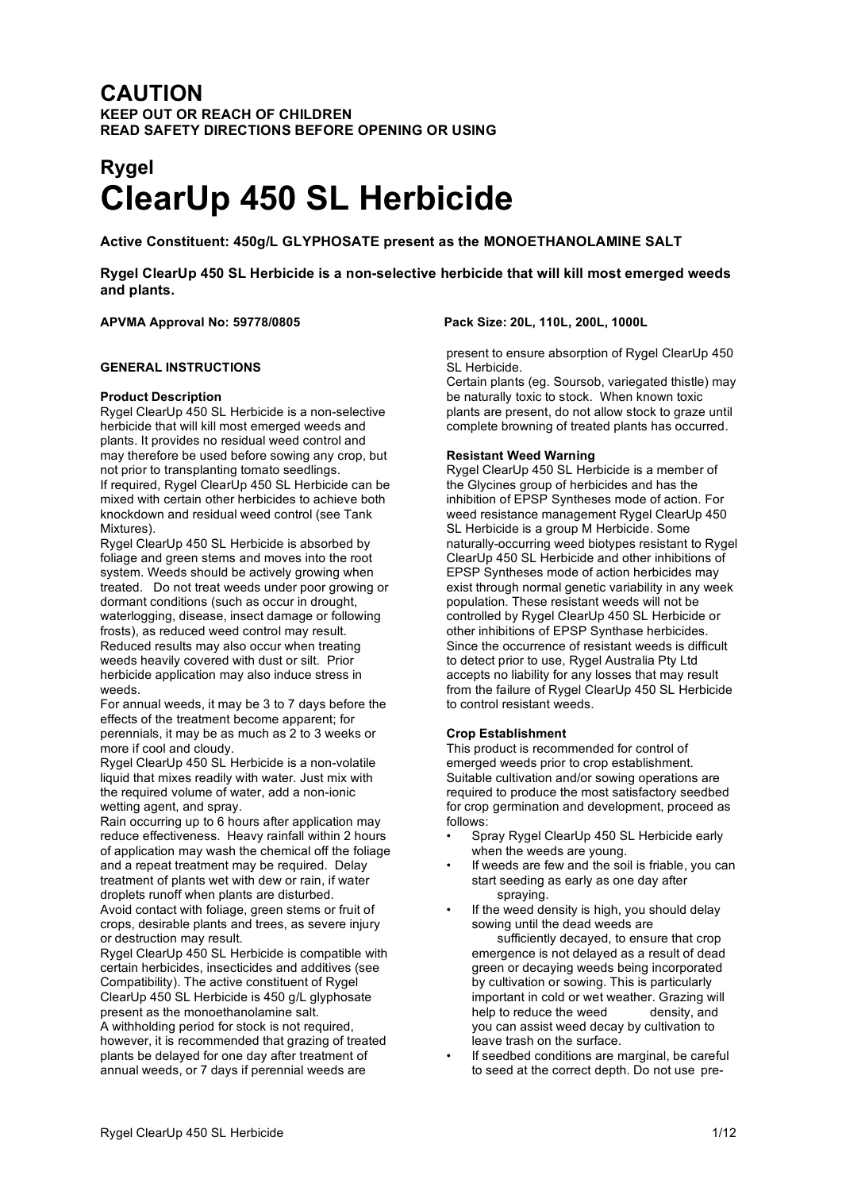## **CAUTION KEEP OUT OR REACH OF CHILDREN READ SAFETY DIRECTIONS BEFORE OPENING OR USING**

# **Rygel ClearUp 450 SL Herbicide**

**Active Constituent: 450g/L GLYPHOSATE present as the MONOETHANOLAMINE SALT**

**Rygel ClearUp 450 SL Herbicide is a non-selective herbicide that will kill most emerged weeds and plants.**

#### **APVMA Approval No: 59778/0805 Pack Size: 20L, 110L, 200L, 1000L**

#### **GENERAL INSTRUCTIONS**

#### **Product Description**

Rygel ClearUp 450 SL Herbicide is a non-selective herbicide that will kill most emerged weeds and plants. It provides no residual weed control and may therefore be used before sowing any crop, but not prior to transplanting tomato seedlings. If required, Rygel ClearUp 450 SL Herbicide can be mixed with certain other herbicides to achieve both knockdown and residual weed control (see Tank Mixtures).

Rygel ClearUp 450 SL Herbicide is absorbed by foliage and green stems and moves into the root system. Weeds should be actively growing when treated. Do not treat weeds under poor growing or dormant conditions (such as occur in drought, waterlogging, disease, insect damage or following frosts), as reduced weed control may result. Reduced results may also occur when treating weeds heavily covered with dust or silt. Prior herbicide application may also induce stress in weeds.

For annual weeds, it may be 3 to 7 days before the effects of the treatment become apparent; for perennials, it may be as much as 2 to 3 weeks or more if cool and cloudy.

Rygel ClearUp 450 SL Herbicide is a non-volatile liquid that mixes readily with water. Just mix with the required volume of water, add a non-ionic wetting agent, and spray.

Rain occurring up to 6 hours after application may reduce effectiveness. Heavy rainfall within 2 hours of application may wash the chemical off the foliage and a repeat treatment may be required. Delay treatment of plants wet with dew or rain, if water droplets runoff when plants are disturbed. Avoid contact with foliage, green stems or fruit of crops, desirable plants and trees, as severe injury or destruction may result.

Rygel ClearUp 450 SL Herbicide is compatible with certain herbicides, insecticides and additives (see Compatibility). The active constituent of Rygel ClearUp 450 SL Herbicide is 450 g/L glyphosate present as the monoethanolamine salt. A withholding period for stock is not required, however, it is recommended that grazing of treated plants be delayed for one day after treatment of annual weeds, or 7 days if perennial weeds are

present to ensure absorption of Rygel ClearUp 450 SL Herbicide.

Certain plants (eg. Soursob, variegated thistle) may be naturally toxic to stock. When known toxic plants are present, do not allow stock to graze until complete browning of treated plants has occurred.

#### **Resistant Weed Warning**

Rygel ClearUp 450 SL Herbicide is a member of the Glycines group of herbicides and has the inhibition of EPSP Syntheses mode of action. For weed resistance management Rygel ClearUp 450 SL Herbicide is a group M Herbicide. Some naturally-occurring weed biotypes resistant to Rygel ClearUp 450 SL Herbicide and other inhibitions of EPSP Syntheses mode of action herbicides may exist through normal genetic variability in any week population. These resistant weeds will not be controlled by Rygel ClearUp 450 SL Herbicide or other inhibitions of EPSP Synthase herbicides. Since the occurrence of resistant weeds is difficult to detect prior to use, Rygel Australia Pty Ltd accepts no liability for any losses that may result from the failure of Rygel ClearUp 450 SL Herbicide to control resistant weeds.

#### **Crop Establishment**

This product is recommended for control of emerged weeds prior to crop establishment. Suitable cultivation and/or sowing operations are required to produce the most satisfactory seedbed for crop germination and development, proceed as follows:

- Spray Rygel ClearUp 450 SL Herbicide early when the weeds are young.
- If weeds are few and the soil is friable, you can start seeding as early as one day after spraying.
- If the weed density is high, you should delay sowing until the dead weeds are

sufficiently decayed, to ensure that crop emergence is not delayed as a result of dead green or decaying weeds being incorporated by cultivation or sowing. This is particularly important in cold or wet weather. Grazing will help to reduce the weed density, and you can assist weed decay by cultivation to leave trash on the surface.

If seedbed conditions are marginal, be careful to seed at the correct depth. Do not use pre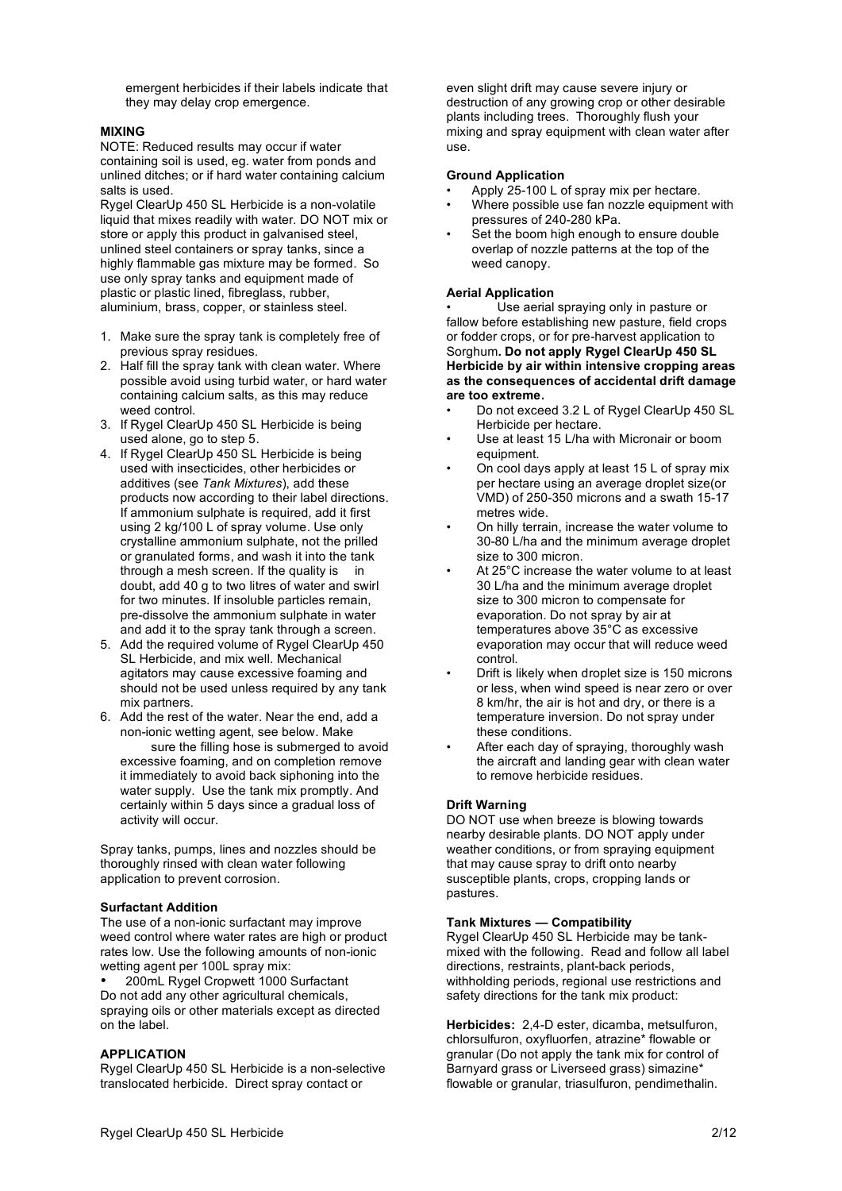emergent herbicides if their labels indicate that they may delay crop emergence.

#### **MIXING**

NOTE: Reduced results may occur if water containing soil is used, eg. water from ponds and unlined ditches; or if hard water containing calcium salts is used.

Rygel ClearUp 450 SL Herbicide is a non-volatile liquid that mixes readily with water. DO NOT mix or store or apply this product in galvanised steel, unlined steel containers or spray tanks, since a highly flammable gas mixture may be formed. So use only spray tanks and equipment made of plastic or plastic lined, fibreglass, rubber, aluminium, brass, copper, or stainless steel.

- 1. Make sure the spray tank is completely free of previous spray residues.
- 2. Half fill the spray tank with clean water. Where possible avoid using turbid water, or hard water containing calcium salts, as this may reduce weed control.
- 3. If Rygel ClearUp 450 SL Herbicide is being used alone, go to step 5.
- 4. If Rygel ClearUp 450 SL Herbicide is being used with insecticides, other herbicides or additives (see *Tank Mixtures*), add these products now according to their label directions. If ammonium sulphate is required, add it first using 2 kg/100 L of spray volume. Use only crystalline ammonium sulphate, not the prilled or granulated forms, and wash it into the tank through a mesh screen. If the quality is in doubt, add 40 g to two litres of water and swirl for two minutes. If insoluble particles remain, pre-dissolve the ammonium sulphate in water and add it to the spray tank through a screen.
- 5. Add the required volume of Rygel ClearUp 450 SL Herbicide, and mix well. Mechanical agitators may cause excessive foaming and should not be used unless required by any tank mix partners.
- 6. Add the rest of the water. Near the end, add a non-ionic wetting agent, see below. Make sure the filling hose is submerged to avoid excessive foaming, and on completion remove it immediately to avoid back siphoning into the water supply. Use the tank mix promptly. And certainly within 5 days since a gradual loss of activity will occur.

Spray tanks, pumps, lines and nozzles should be thoroughly rinsed with clean water following application to prevent corrosion.

#### **Surfactant Addition**

The use of a non-ionic surfactant may improve weed control where water rates are high or product rates low. Use the following amounts of non-ionic wetting agent per 100L spray mix:

• 200mL Rygel Cropwett 1000 Surfactant Do not add any other agricultural chemicals, spraying oils or other materials except as directed on the label.

#### **APPLICATION**

Rygel ClearUp 450 SL Herbicide is a non-selective translocated herbicide. Direct spray contact or

even slight drift may cause severe injury or destruction of any growing crop or other desirable plants including trees. Thoroughly flush your mixing and spray equipment with clean water after use.

#### **Ground Application**

- Apply 25-100 L of spray mix per hectare.
- Where possible use fan nozzle equipment with pressures of 240-280 kPa.
- Set the boom high enough to ensure double overlap of nozzle patterns at the top of the weed canopy.

#### **Aerial Application**

• Use aerial spraying only in pasture or fallow before establishing new pasture, field crops or fodder crops, or for pre-harvest application to Sorghum**. Do not apply Rygel ClearUp 450 SL Herbicide by air within intensive cropping areas as the consequences of accidental drift damage are too extreme.**

- Do not exceed 3.2 L of Rygel ClearUp 450 SL Herbicide per hectare.
- Use at least 15 L/ha with Micronair or boom equipment.
- On cool days apply at least 15 L of spray mix per hectare using an average droplet size(or VMD) of 250-350 microns and a swath 15-17 metres wide.
- On hilly terrain, increase the water volume to 30-80 L/ha and the minimum average droplet size to 300 micron.
- At 25°C increase the water volume to at least 30 L/ha and the minimum average droplet size to 300 micron to compensate for evaporation. Do not spray by air at temperatures above 35°C as excessive evaporation may occur that will reduce weed control.
- Drift is likely when droplet size is 150 microns or less, when wind speed is near zero or over 8 km/hr, the air is hot and dry, or there is a temperature inversion. Do not spray under these conditions.
- After each day of spraying, thoroughly wash the aircraft and landing gear with clean water to remove herbicide residues.

#### **Drift Warning**

DO NOT use when breeze is blowing towards nearby desirable plants. DO NOT apply under weather conditions, or from spraying equipment that may cause spray to drift onto nearby susceptible plants, crops, cropping lands or pastures.

#### **Tank Mixtures — Compatibility**

Rygel ClearUp 450 SL Herbicide may be tankmixed with the following. Read and follow all label directions, restraints, plant-back periods, withholding periods, regional use restrictions and safety directions for the tank mix product:

**Herbicides:** 2,4-D ester, dicamba, metsulfuron, chlorsulfuron, oxyfluorfen, atrazine\* flowable or granular (Do not apply the tank mix for control of Barnyard grass or Liverseed grass) simazine\* flowable or granular, triasulfuron, pendimethalin.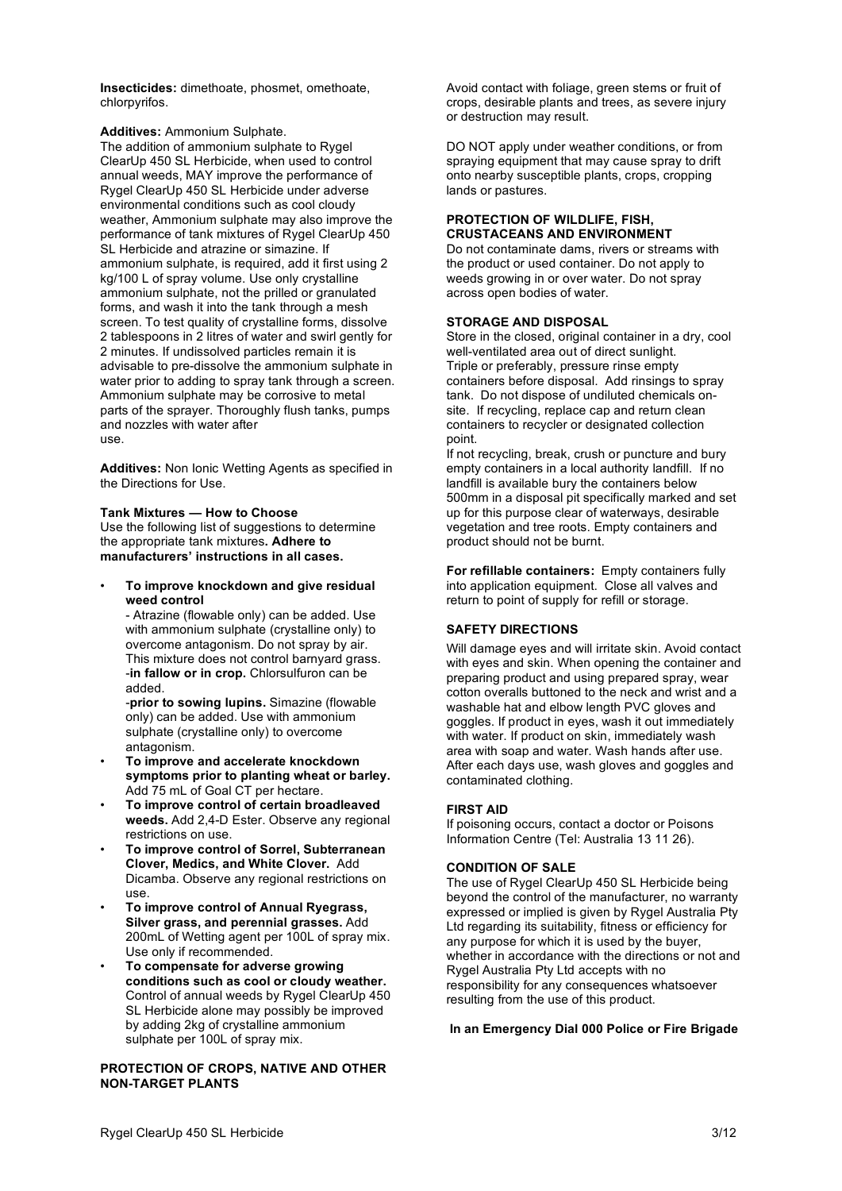**Insecticides:** dimethoate, phosmet, omethoate, chlorpyrifos.

**Additives:** Ammonium Sulphate.

The addition of ammonium sulphate to Rygel ClearUp 450 SL Herbicide, when used to control annual weeds, MAY improve the performance of Rygel ClearUp 450 SL Herbicide under adverse environmental conditions such as cool cloudy weather, Ammonium sulphate may also improve the performance of tank mixtures of Rygel ClearUp 450 SL Herbicide and atrazine or simazine. If ammonium sulphate, is required, add it first using 2 kg/100 L of spray volume. Use only crystalline ammonium sulphate, not the prilled or granulated forms, and wash it into the tank through a mesh screen. To test quality of crystalline forms, dissolve 2 tablespoons in 2 litres of water and swirl gently for 2 minutes. If undissolved particles remain it is advisable to pre-dissolve the ammonium sulphate in water prior to adding to spray tank through a screen. Ammonium sulphate may be corrosive to metal parts of the sprayer. Thoroughly flush tanks, pumps and nozzles with water after use.

**Additives:** Non Ionic Wetting Agents as specified in the Directions for Use.

#### **Tank Mixtures — How to Choose**

Use the following list of suggestions to determine the appropriate tank mixtures**. Adhere to manufacturers' instructions in all cases.**

• **To improve knockdown and give residual weed control**

- Atrazine (flowable only) can be added. Use with ammonium sulphate (crystalline only) to overcome antagonism. Do not spray by air. This mixture does not control barnyard grass. -**in fallow or in crop.** Chlorsulfuron can be added.

-**prior to sowing lupins.** Simazine (flowable only) can be added. Use with ammonium sulphate (crystalline only) to overcome antagonism.

- **To improve and accelerate knockdown symptoms prior to planting wheat or barley.** Add 75 mL of Goal CT per hectare.
- **To improve control of certain broadleaved weeds.** Add 2,4-D Ester. Observe any regional restrictions on use.
- **To improve control of Sorrel, Subterranean Clover, Medics, and White Clover.** Add Dicamba. Observe any regional restrictions on use.
- **To improve control of Annual Ryegrass, Silver grass, and perennial grasses.** Add 200mL of Wetting agent per 100L of spray mix. Use only if recommended.
- **To compensate for adverse growing conditions such as cool or cloudy weather.** Control of annual weeds by Rygel ClearUp 450 SL Herbicide alone may possibly be improved by adding 2kg of crystalline ammonium sulphate per 100L of spray mix.

#### **PROTECTION OF CROPS, NATIVE AND OTHER NON-TARGET PLANTS**

Avoid contact with foliage, green stems or fruit of crops, desirable plants and trees, as severe injury or destruction may result.

DO NOT apply under weather conditions, or from spraying equipment that may cause spray to drift onto nearby susceptible plants, crops, cropping lands or pastures.

#### **PROTECTION OF WILDLIFE, FISH, CRUSTACEANS AND ENVIRONMENT**

Do not contaminate dams, rivers or streams with the product or used container. Do not apply to weeds growing in or over water. Do not spray across open bodies of water.

### **STORAGE AND DISPOSAL**

Store in the closed, original container in a dry, cool well-ventilated area out of direct sunlight. Triple or preferably, pressure rinse empty containers before disposal. Add rinsings to spray tank. Do not dispose of undiluted chemicals onsite. If recycling, replace cap and return clean containers to recycler or designated collection point.

If not recycling, break, crush or puncture and bury empty containers in a local authority landfill. If no landfill is available bury the containers below 500mm in a disposal pit specifically marked and set up for this purpose clear of waterways, desirable vegetation and tree roots. Empty containers and product should not be burnt.

**For refillable containers:** Empty containers fully into application equipment. Close all valves and return to point of supply for refill or storage.

#### **SAFETY DIRECTIONS**

Will damage eyes and will irritate skin. Avoid contact with eyes and skin. When opening the container and preparing product and using prepared spray, wear cotton overalls buttoned to the neck and wrist and a washable hat and elbow length PVC gloves and goggles. If product in eyes, wash it out immediately with water. If product on skin, immediately wash area with soap and water. Wash hands after use. After each days use, wash gloves and goggles and contaminated clothing.

#### **FIRST AID**

If poisoning occurs, contact a doctor or Poisons Information Centre (Tel: Australia 13 11 26).

#### **CONDITION OF SALE**

The use of Rygel ClearUp 450 SL Herbicide being beyond the control of the manufacturer, no warranty expressed or implied is given by Rygel Australia Pty Ltd regarding its suitability, fitness or efficiency for any purpose for which it is used by the buyer, whether in accordance with the directions or not and Rygel Australia Pty Ltd accepts with no responsibility for any consequences whatsoever resulting from the use of this product.

#### **In an Emergency Dial 000 Police or Fire Brigade**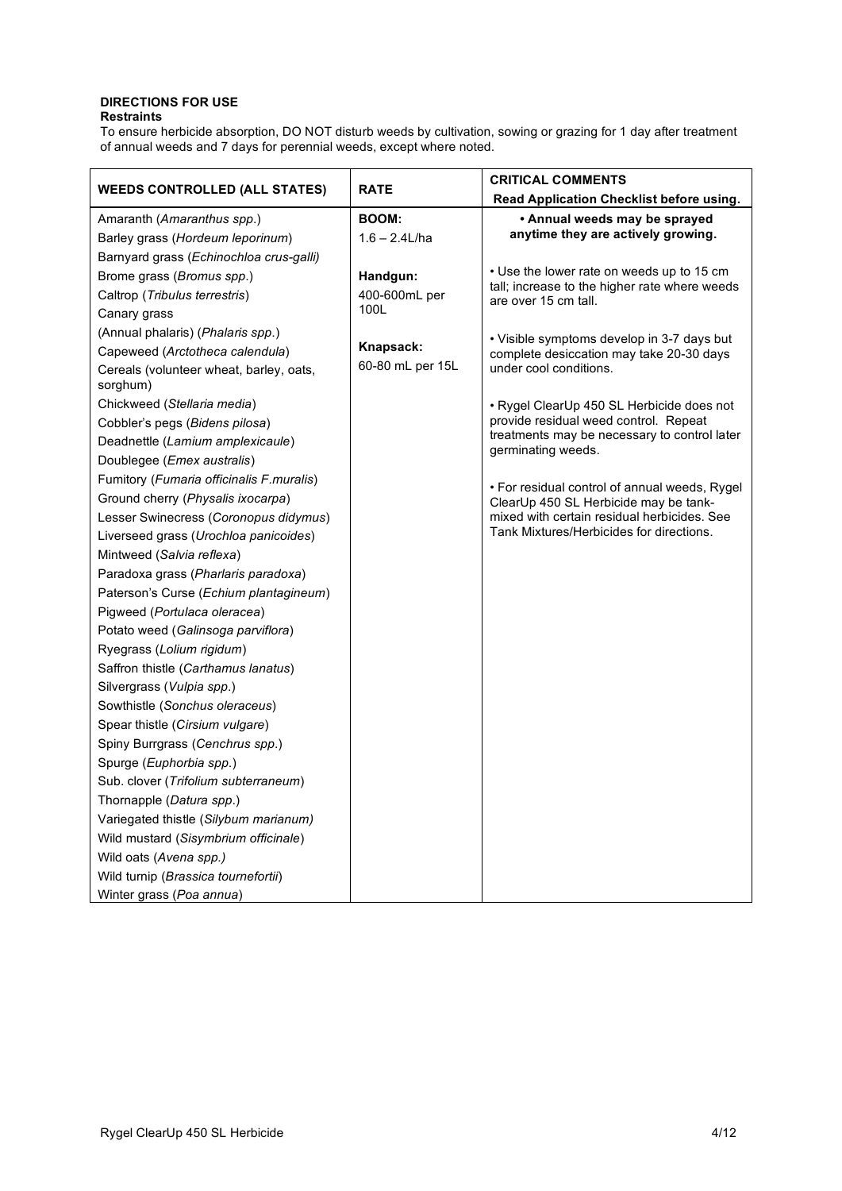#### **DIRECTIONS FOR USE Restraints**

To ensure herbicide absorption, DO NOT disturb weeds by cultivation, sowing or grazing for 1 day after treatment of annual weeds and 7 days for perennial weeds, except where noted.

| <b>WEEDS CONTROLLED (ALL STATES)</b>                | <b>RATE</b>      | <b>CRITICAL COMMENTS</b>                                              |
|-----------------------------------------------------|------------------|-----------------------------------------------------------------------|
|                                                     |                  | Read Application Checklist before using.                              |
| Amaranth (Amaranthus spp.)                          | <b>BOOM:</b>     | • Annual weeds may be sprayed                                         |
| Barley grass (Hordeum leporinum)                    | $1.6 - 2.4$ L/ha | anytime they are actively growing.                                    |
| Barnyard grass (Echinochloa crus-galli)             |                  |                                                                       |
| Brome grass (Bromus spp.)                           | Handgun:         | • Use the lower rate on weeds up to 15 cm                             |
| Caltrop (Tribulus terrestris)                       | 400-600mL per    | tall; increase to the higher rate where weeds<br>are over 15 cm tall. |
| Canary grass                                        | 100L             |                                                                       |
| (Annual phalaris) (Phalaris spp.)                   |                  | • Visible symptoms develop in 3-7 days but                            |
| Capeweed (Arctotheca calendula)                     | Knapsack:        | complete desiccation may take 20-30 days                              |
| Cereals (volunteer wheat, barley, oats,<br>sorghum) | 60-80 mL per 15L | under cool conditions.                                                |
| Chickweed (Stellaria media)                         |                  | · Rygel ClearUp 450 SL Herbicide does not                             |
| Cobbler's pegs (Bidens pilosa)                      |                  | provide residual weed control. Repeat                                 |
| Deadnettle (Lamium amplexicaule)                    |                  | treatments may be necessary to control later<br>germinating weeds.    |
| Doublegee (Emex australis)                          |                  |                                                                       |
| Fumitory (Fumaria officinalis F.muralis)            |                  | • For residual control of annual weeds, Rygel                         |
| Ground cherry (Physalis ixocarpa)                   |                  | ClearUp 450 SL Herbicide may be tank-                                 |
| Lesser Swinecress (Coronopus didymus)               |                  | mixed with certain residual herbicides. See                           |
| Liverseed grass (Urochloa panicoides)               |                  | Tank Mixtures/Herbicides for directions.                              |
| Mintweed (Salvia reflexa)                           |                  |                                                                       |
| Paradoxa grass (Pharlaris paradoxa)                 |                  |                                                                       |
| Paterson's Curse (Echium plantagineum)              |                  |                                                                       |
| Pigweed (Portulaca oleracea)                        |                  |                                                                       |
| Potato weed (Galinsoga parviflora)                  |                  |                                                                       |
| Ryegrass (Lolium rigidum)                           |                  |                                                                       |
| Saffron thistle (Carthamus lanatus)                 |                  |                                                                       |
| Silvergrass (Vulpia spp.)                           |                  |                                                                       |
| Sowthistle (Sonchus oleraceus)                      |                  |                                                                       |
| Spear thistle (Cirsium vulgare)                     |                  |                                                                       |
| Spiny Burrgrass (Cenchrus spp.)                     |                  |                                                                       |
| Spurge (Euphorbia spp.)                             |                  |                                                                       |
| Sub. clover (Trifolium subterraneum)                |                  |                                                                       |
| Thornapple (Datura spp.)                            |                  |                                                                       |
| Variegated thistle (Silybum marianum)               |                  |                                                                       |
| Wild mustard (Sisymbrium officinale)                |                  |                                                                       |
| Wild oats (Avena spp.)                              |                  |                                                                       |
| Wild turnip (Brassica tournefortii)                 |                  |                                                                       |
| Winter grass (Poa annua)                            |                  |                                                                       |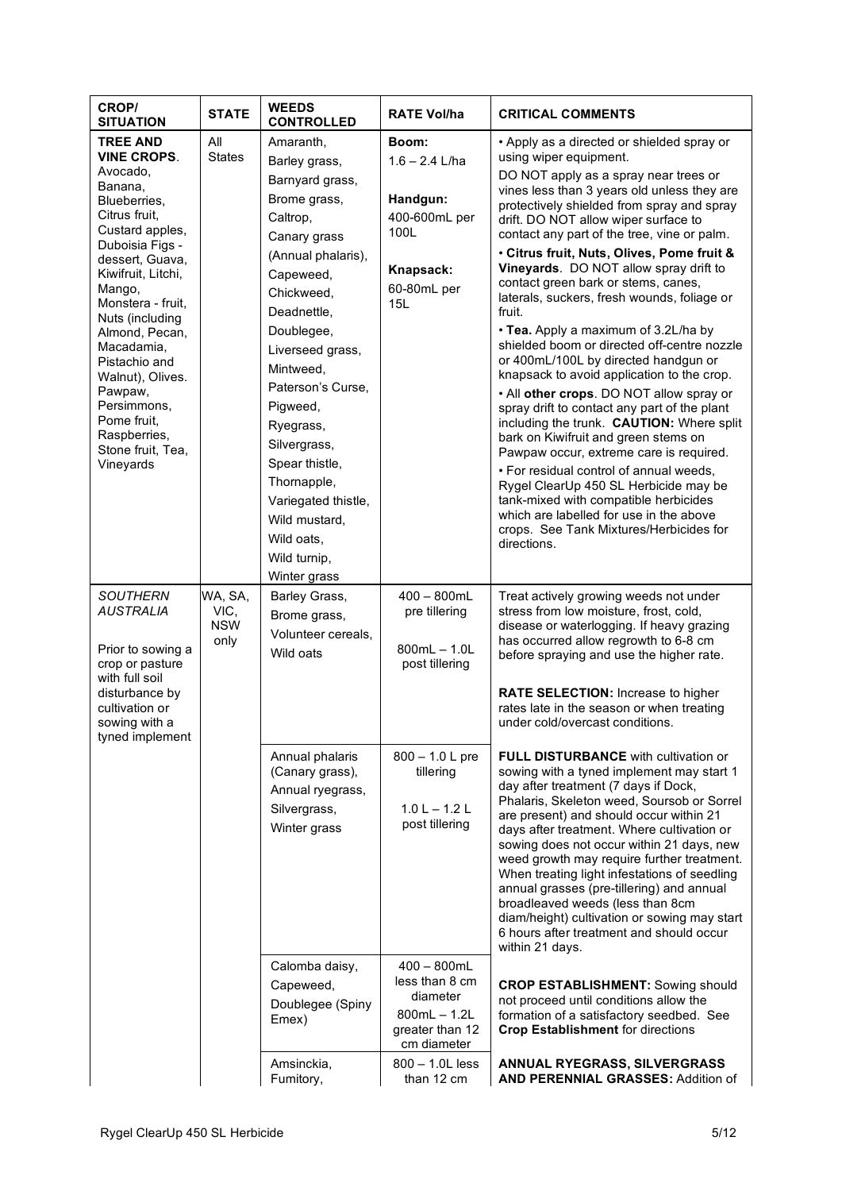| CROP/<br><b>SITUATION</b>            | <b>STATE</b>       | <b>WEEDS</b><br><b>CONTROLLED</b> | <b>RATE Vol/ha</b>               | <b>CRITICAL COMMENTS</b>                                                                   |
|--------------------------------------|--------------------|-----------------------------------|----------------------------------|--------------------------------------------------------------------------------------------|
| <b>TREE AND</b>                      | All                | Amaranth,                         | Boom:                            | • Apply as a directed or shielded spray or                                                 |
| <b>VINE CROPS.</b>                   | <b>States</b>      | Barley grass,                     | $1.6 - 2.4$ L/ha                 | using wiper equipment.                                                                     |
| Avocado,<br>Banana,                  |                    | Barnyard grass,                   |                                  | DO NOT apply as a spray near trees or                                                      |
| Blueberries,                         |                    | Brome grass,                      | Handgun:                         | vines less than 3 years old unless they are<br>protectively shielded from spray and spray  |
| Citrus fruit.                        |                    | Caltrop,                          | 400-600mL per                    | drift. DO NOT allow wiper surface to                                                       |
| Custard apples,                      |                    | Canary grass                      | 100L                             | contact any part of the tree, vine or palm.                                                |
| Duboisia Figs -<br>dessert, Guava,   |                    | (Annual phalaris),                |                                  | · Citrus fruit, Nuts, Olives, Pome fruit &                                                 |
| Kiwifruit, Litchi,                   |                    | Capeweed,                         | Knapsack:                        | Vineyards. DO NOT allow spray drift to                                                     |
| Mango,                               |                    | Chickweed,                        | 60-80mL per                      | contact green bark or stems, canes,<br>laterals, suckers, fresh wounds, foliage or         |
| Monstera - fruit,<br>Nuts (including |                    | Deadnettle,                       | 15L                              | fruit.                                                                                     |
| Almond, Pecan,                       |                    | Doublegee,                        |                                  | • Tea. Apply a maximum of 3.2L/ha by                                                       |
| Macadamia,                           |                    | Liverseed grass,                  |                                  | shielded boom or directed off-centre nozzle                                                |
| Pistachio and                        |                    | Mintweed,                         |                                  | or 400mL/100L by directed handgun or<br>knapsack to avoid application to the crop.         |
| Walnut), Olives.<br>Pawpaw,          |                    | Paterson's Curse,                 |                                  | . All other crops. DO NOT allow spray or                                                   |
| Persimmons,                          |                    | Pigweed,                          |                                  | spray drift to contact any part of the plant                                               |
| Pome fruit.                          |                    | Ryegrass,                         |                                  | including the trunk. CAUTION: Where split                                                  |
| Raspberries,<br>Stone fruit, Tea,    |                    | Silvergrass,                      |                                  | bark on Kiwifruit and green stems on<br>Pawpaw occur, extreme care is required.            |
| Vineyards                            |                    | Spear thistle,                    |                                  | . For residual control of annual weeds,                                                    |
|                                      |                    | Thornapple,                       |                                  | Rygel ClearUp 450 SL Herbicide may be                                                      |
|                                      |                    | Variegated thistle,               |                                  | tank-mixed with compatible herbicides                                                      |
|                                      |                    | Wild mustard,                     |                                  | which are labelled for use in the above                                                    |
|                                      |                    | Wild oats,                        |                                  | crops. See Tank Mixtures/Herbicides for<br>directions.                                     |
|                                      |                    | Wild turnip,                      |                                  |                                                                                            |
|                                      |                    | Winter grass                      |                                  |                                                                                            |
| <b>SOUTHERN</b>                      | WA, SA,            | Barley Grass,                     | $400 - 800$ mL                   | Treat actively growing weeds not under                                                     |
| <b>AUSTRALIA</b>                     | VIC,<br><b>NSW</b> | Brome grass,                      | pre tillering                    | stress from low moisture, frost, cold,<br>disease or waterlogging. If heavy grazing        |
|                                      | only               | Volunteer cereals.                |                                  | has occurred allow regrowth to 6-8 cm                                                      |
| Prior to sowing a<br>crop or pasture |                    | Wild oats                         | $800mL - 1.0L$<br>post tillering | before spraying and use the higher rate.                                                   |
| with full soil                       |                    |                                   |                                  |                                                                                            |
| disturbance by                       |                    |                                   |                                  | RATE SELECTION: Increase to higher                                                         |
| cultivation or<br>sowing with a      |                    |                                   |                                  | rates late in the season or when treating<br>under cold/overcast conditions.               |
| tyned implement                      |                    |                                   |                                  |                                                                                            |
|                                      |                    | Annual phalaris                   | 800 - 1.0 L pre                  | <b>FULL DISTURBANCE</b> with cultivation or                                                |
|                                      |                    | (Canary grass),                   | tillering                        | sowing with a tyned implement may start 1                                                  |
|                                      |                    | Annual ryegrass,                  |                                  | day after treatment (7 days if Dock,<br>Phalaris, Skeleton weed, Soursob or Sorrel         |
|                                      |                    | Silvergrass,                      | $1.0 L - 1.2 L$                  | are present) and should occur within 21                                                    |
|                                      |                    | Winter grass                      | post tillering                   | days after treatment. Where cultivation or                                                 |
|                                      |                    |                                   |                                  | sowing does not occur within 21 days, new                                                  |
|                                      |                    |                                   |                                  | weed growth may require further treatment.<br>When treating light infestations of seedling |
|                                      |                    |                                   |                                  | annual grasses (pre-tillering) and annual                                                  |
|                                      |                    |                                   |                                  | broadleaved weeds (less than 8cm                                                           |
|                                      |                    |                                   |                                  | diam/height) cultivation or sowing may start<br>6 hours after treatment and should occur   |
|                                      |                    |                                   |                                  | within 21 days.                                                                            |
|                                      |                    | Calomba daisy,                    | $400 - 800$ mL                   |                                                                                            |
|                                      |                    | Capeweed,                         | less than 8 cm                   | <b>CROP ESTABLISHMENT:</b> Sowing should                                                   |
|                                      |                    | Doublegee (Spiny                  | diameter<br>$800mL - 1.2L$       | not proceed until conditions allow the                                                     |
|                                      |                    | Emex)                             | greater than 12                  | formation of a satisfactory seedbed. See<br><b>Crop Establishment for directions</b>       |
|                                      |                    |                                   | cm diameter                      |                                                                                            |
|                                      |                    | Amsinckia,<br>Fumitory,           | $800 - 1.0$ L less<br>than 12 cm | ANNUAL RYEGRASS, SILVERGRASS<br><b>AND PERENNIAL GRASSES: Addition of</b>                  |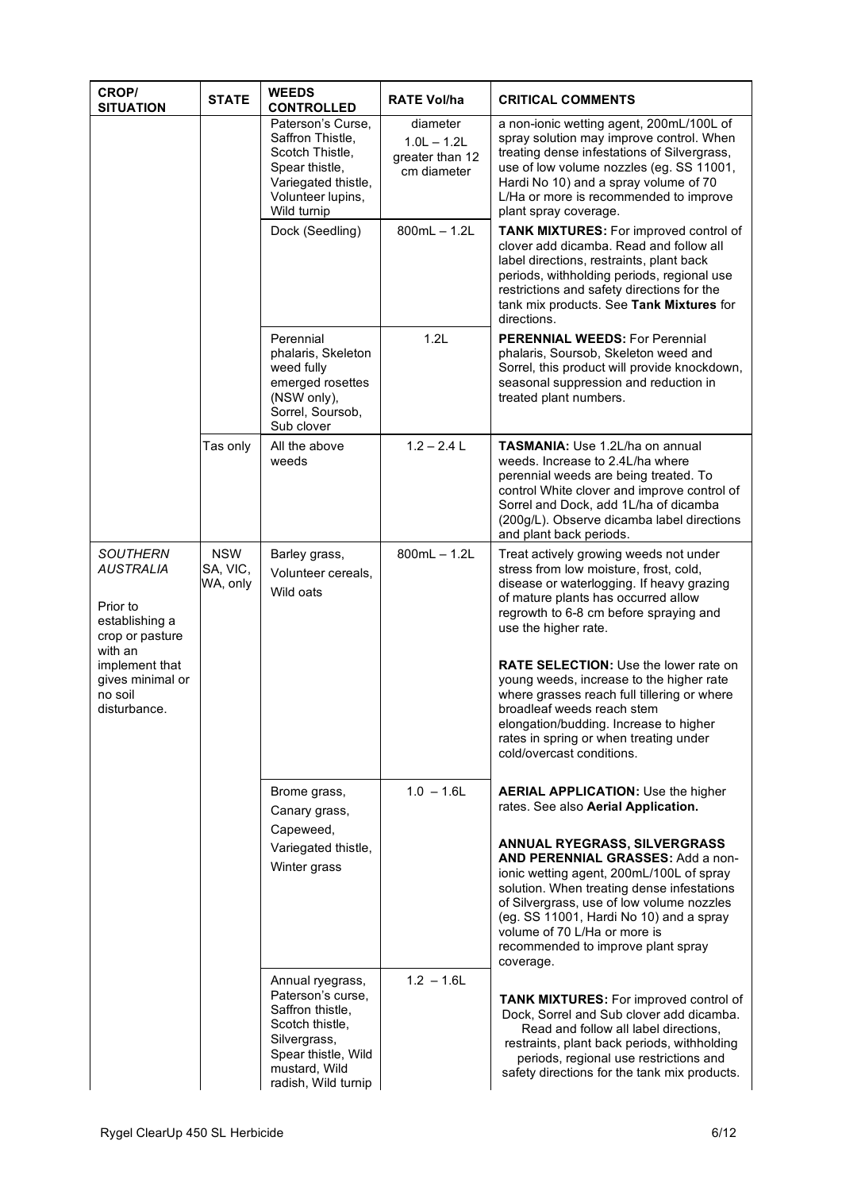| <b>CROP/</b><br><b>SITUATION</b>                                                                                                                                 | <b>STATE</b>                       | <b>WEEDS</b><br><b>CONTROLLED</b>                                                                                                                           | <b>RATE Vol/ha</b>                                          | <b>CRITICAL COMMENTS</b>                                                                                                                                                                                                                                                                                                                                                                                                                                                                                                         |
|------------------------------------------------------------------------------------------------------------------------------------------------------------------|------------------------------------|-------------------------------------------------------------------------------------------------------------------------------------------------------------|-------------------------------------------------------------|----------------------------------------------------------------------------------------------------------------------------------------------------------------------------------------------------------------------------------------------------------------------------------------------------------------------------------------------------------------------------------------------------------------------------------------------------------------------------------------------------------------------------------|
|                                                                                                                                                                  |                                    | Paterson's Curse,<br>Saffron Thistle,<br>Scotch Thistle,<br>Spear thistle,<br>Variegated thistle,<br>Volunteer lupins,<br>Wild turnip                       | diameter<br>$1.0L - 1.2L$<br>greater than 12<br>cm diameter | a non-ionic wetting agent, 200mL/100L of<br>spray solution may improve control. When<br>treating dense infestations of Silvergrass,<br>use of low volume nozzles (eg. SS 11001,<br>Hardi No 10) and a spray volume of 70<br>L/Ha or more is recommended to improve<br>plant spray coverage.                                                                                                                                                                                                                                      |
|                                                                                                                                                                  |                                    | Dock (Seedling)                                                                                                                                             | $800mL - 1.2L$                                              | <b>TANK MIXTURES:</b> For improved control of<br>clover add dicamba. Read and follow all<br>label directions, restraints, plant back<br>periods, withholding periods, regional use<br>restrictions and safety directions for the<br>tank mix products. See Tank Mixtures for<br>directions.                                                                                                                                                                                                                                      |
|                                                                                                                                                                  |                                    | Perennial<br>phalaris, Skeleton<br>weed fully<br>emerged rosettes<br>(NSW only),<br>Sorrel, Soursob,<br>Sub clover                                          | 1.2L                                                        | <b>PERENNIAL WEEDS: For Perennial</b><br>phalaris, Soursob, Skeleton weed and<br>Sorrel, this product will provide knockdown,<br>seasonal suppression and reduction in<br>treated plant numbers.                                                                                                                                                                                                                                                                                                                                 |
|                                                                                                                                                                  | Tas only                           | All the above<br>weeds                                                                                                                                      | $1.2 - 2.4$ L                                               | <b>TASMANIA:</b> Use 1.2L/ha on annual<br>weeds. Increase to 2.4L/ha where<br>perennial weeds are being treated. To<br>control White clover and improve control of<br>Sorrel and Dock, add 1L/ha of dicamba<br>(200g/L). Observe dicamba label directions<br>and plant back periods.                                                                                                                                                                                                                                             |
| <b>SOUTHERN</b><br><b>AUSTRALIA</b><br>Prior to<br>establishing a<br>crop or pasture<br>with an<br>implement that<br>gives minimal or<br>no soil<br>disturbance. | <b>NSW</b><br>SA, VIC,<br>WA, only | Barley grass,<br>Volunteer cereals,<br>Wild oats                                                                                                            | $800mL - 1.2L$                                              | Treat actively growing weeds not under<br>stress from low moisture, frost, cold,<br>disease or waterlogging. If heavy grazing<br>of mature plants has occurred allow<br>regrowth to 6-8 cm before spraying and<br>use the higher rate.<br><b>RATE SELECTION:</b> Use the lower rate on<br>young weeds, increase to the higher rate<br>where grasses reach full tillering or where<br>broadleaf weeds reach stem<br>elongation/budding. Increase to higher<br>rates in spring or when treating under<br>cold/overcast conditions. |
|                                                                                                                                                                  |                                    | Brome grass,<br>Canary grass,<br>Capeweed,<br>Variegated thistle,<br>Winter grass                                                                           | $1.0 - 1.6$ L                                               | <b>AERIAL APPLICATION: Use the higher</b><br>rates. See also Aerial Application.<br>ANNUAL RYEGRASS, SILVERGRASS<br>AND PERENNIAL GRASSES: Add a non-<br>ionic wetting agent, 200mL/100L of spray<br>solution. When treating dense infestations<br>of Silvergrass, use of low volume nozzles<br>(eg. SS 11001, Hardi No 10) and a spray<br>volume of 70 L/Ha or more is<br>recommended to improve plant spray<br>coverage.                                                                                                       |
|                                                                                                                                                                  |                                    | Annual ryegrass,<br>Paterson's curse,<br>Saffron thistle,<br>Scotch thistle,<br>Silvergrass,<br>Spear thistle, Wild<br>mustard, Wild<br>radish, Wild turnip | $1.2 - 1.6$ L                                               | <b>TANK MIXTURES:</b> For improved control of<br>Dock, Sorrel and Sub clover add dicamba.<br>Read and follow all label directions,<br>restraints, plant back periods, withholding<br>periods, regional use restrictions and<br>safety directions for the tank mix products.                                                                                                                                                                                                                                                      |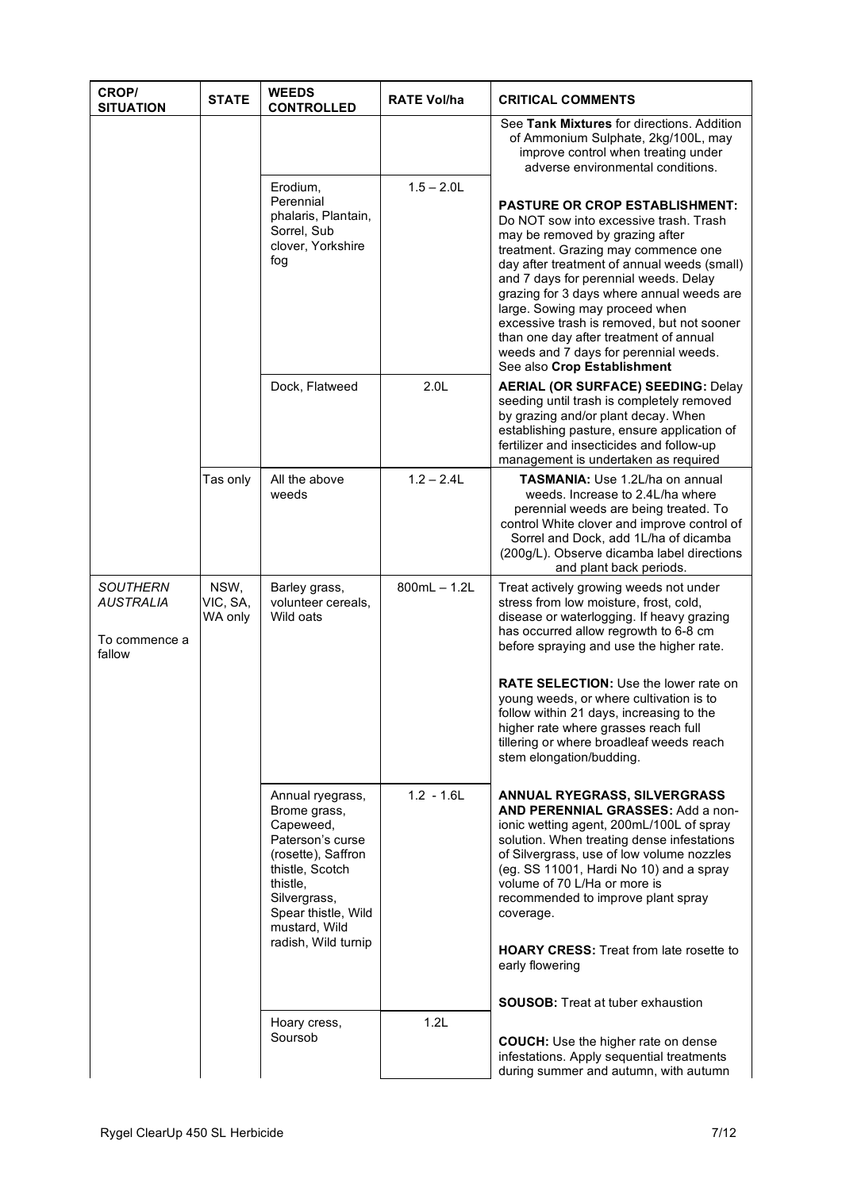| CROP/<br><b>SITUATION</b>                                      | <b>STATE</b>                | <b>WEEDS</b><br><b>CONTROLLED</b>                                                                                                                                              | <b>RATE Vol/ha</b> | <b>CRITICAL COMMENTS</b>                                                                                                                                                                                                                                                                                                                                                                                                                                                                         |
|----------------------------------------------------------------|-----------------------------|--------------------------------------------------------------------------------------------------------------------------------------------------------------------------------|--------------------|--------------------------------------------------------------------------------------------------------------------------------------------------------------------------------------------------------------------------------------------------------------------------------------------------------------------------------------------------------------------------------------------------------------------------------------------------------------------------------------------------|
|                                                                |                             |                                                                                                                                                                                |                    | See Tank Mixtures for directions. Addition<br>of Ammonium Sulphate, 2kg/100L, may<br>improve control when treating under<br>adverse environmental conditions.                                                                                                                                                                                                                                                                                                                                    |
|                                                                |                             | Erodium,<br>Perennial<br>phalaris, Plantain,<br>Sorrel, Sub<br>clover, Yorkshire<br>fog                                                                                        | $1.5 - 2.0$ L      | <b>PASTURE OR CROP ESTABLISHMENT:</b><br>Do NOT sow into excessive trash. Trash<br>may be removed by grazing after<br>treatment. Grazing may commence one<br>day after treatment of annual weeds (small)<br>and 7 days for perennial weeds. Delay<br>grazing for 3 days where annual weeds are<br>large. Sowing may proceed when<br>excessive trash is removed, but not sooner<br>than one day after treatment of annual<br>weeds and 7 days for perennial weeds.<br>See also Crop Establishment |
|                                                                |                             | Dock, Flatweed                                                                                                                                                                 | 2.0 <sub>L</sub>   | <b>AERIAL (OR SURFACE) SEEDING: Delay</b><br>seeding until trash is completely removed<br>by grazing and/or plant decay. When<br>establishing pasture, ensure application of<br>fertilizer and insecticides and follow-up<br>management is undertaken as required                                                                                                                                                                                                                                |
|                                                                | Tas only                    | All the above<br>weeds                                                                                                                                                         | $1.2 - 2.4L$       | <b>TASMANIA: Use 1.2L/ha on annual</b><br>weeds. Increase to 2.4L/ha where<br>perennial weeds are being treated. To<br>control White clover and improve control of<br>Sorrel and Dock, add 1L/ha of dicamba<br>(200g/L). Observe dicamba label directions<br>and plant back periods.                                                                                                                                                                                                             |
| <b>SOUTHERN</b><br><b>AUSTRALIA</b><br>To commence a<br>fallow | NSW,<br>VIC, SA,<br>WA only | Barley grass,<br>volunteer cereals,<br>Wild oats                                                                                                                               | $800mL - 1.2L$     | Treat actively growing weeds not under<br>stress from low moisture, frost, cold,<br>disease or waterlogging. If heavy grazing<br>has occurred allow regrowth to 6-8 cm<br>before spraying and use the higher rate.                                                                                                                                                                                                                                                                               |
|                                                                |                             |                                                                                                                                                                                |                    | <b>RATE SELECTION: Use the lower rate on</b><br>young weeds, or where cultivation is to<br>follow within 21 days, increasing to the<br>higher rate where grasses reach full<br>tillering or where broadleaf weeds reach<br>stem elongation/budding.                                                                                                                                                                                                                                              |
|                                                                |                             | Annual ryegrass,<br>Brome grass,<br>Capeweed,<br>Paterson's curse<br>(rosette), Saffron<br>thistle, Scotch<br>thistle,<br>Silvergrass,<br>Spear thistle, Wild<br>mustard, Wild | $1.2 - 1.6L$       | ANNUAL RYEGRASS, SILVERGRASS<br>AND PERENNIAL GRASSES: Add a non-<br>ionic wetting agent, 200mL/100L of spray<br>solution. When treating dense infestations<br>of Silvergrass, use of low volume nozzles<br>(eg. SS 11001, Hardi No 10) and a spray<br>volume of 70 L/Ha or more is<br>recommended to improve plant spray<br>coverage.                                                                                                                                                           |
|                                                                |                             | radish, Wild turnip                                                                                                                                                            |                    | <b>HOARY CRESS:</b> Treat from late rosette to<br>early flowering                                                                                                                                                                                                                                                                                                                                                                                                                                |
|                                                                |                             | Hoary cress,<br>Soursob                                                                                                                                                        | 1.2L               | <b>SOUSOB:</b> Treat at tuber exhaustion<br><b>COUCH:</b> Use the higher rate on dense<br>infestations. Apply sequential treatments<br>during summer and autumn, with autumn                                                                                                                                                                                                                                                                                                                     |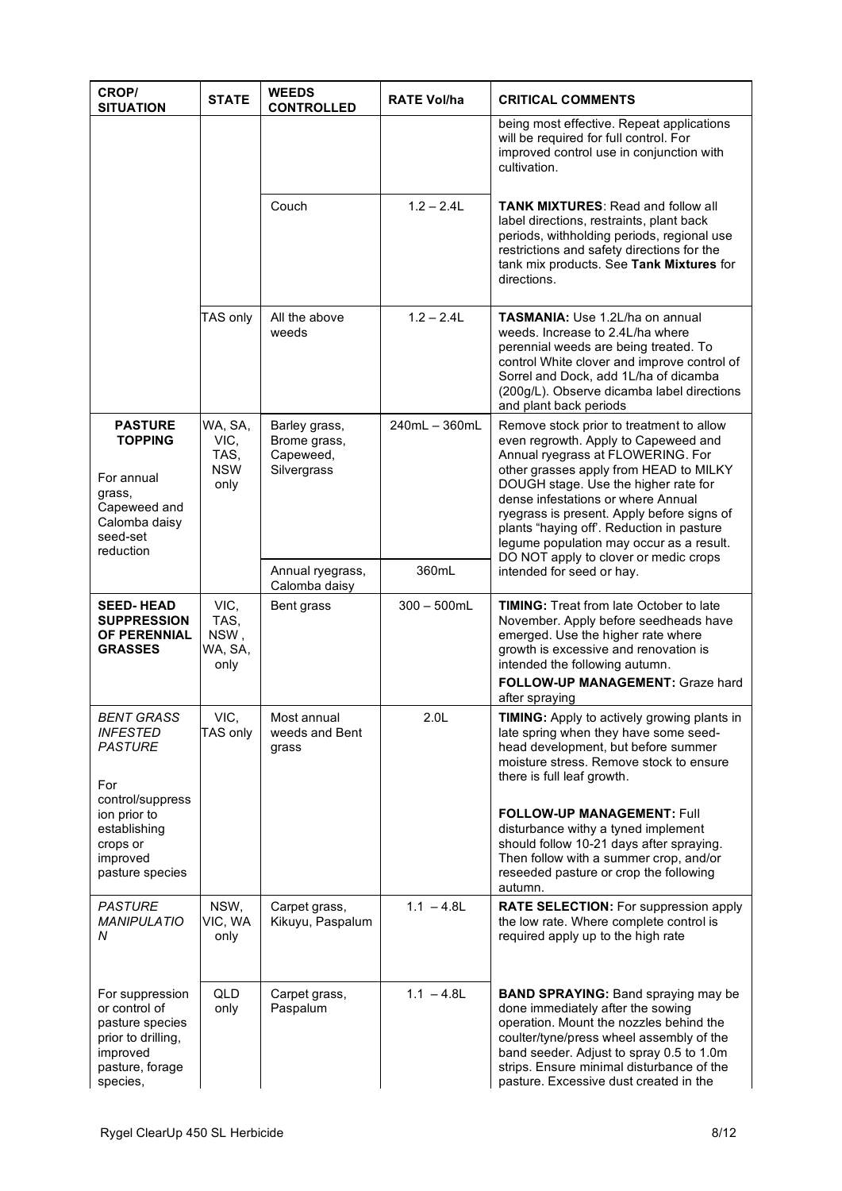| CROP/<br><b>SITUATION</b>                                                                                            | <b>STATE</b>                                  | <b>WEEDS</b><br><b>CONTROLLED</b>                         | <b>RATE Vol/ha</b> | <b>CRITICAL COMMENTS</b>                                                                                                                                                                                                                                                                                                                                                                                                      |
|----------------------------------------------------------------------------------------------------------------------|-----------------------------------------------|-----------------------------------------------------------|--------------------|-------------------------------------------------------------------------------------------------------------------------------------------------------------------------------------------------------------------------------------------------------------------------------------------------------------------------------------------------------------------------------------------------------------------------------|
|                                                                                                                      |                                               |                                                           |                    | being most effective. Repeat applications<br>will be required for full control. For<br>improved control use in conjunction with<br>cultivation.                                                                                                                                                                                                                                                                               |
|                                                                                                                      |                                               | Couch                                                     | $1.2 - 2.4L$       | <b>TANK MIXTURES: Read and follow all</b><br>label directions, restraints, plant back<br>periods, withholding periods, regional use<br>restrictions and safety directions for the<br>tank mix products. See Tank Mixtures for<br>directions.                                                                                                                                                                                  |
|                                                                                                                      | TAS only                                      | All the above<br>weeds                                    | $1.2 - 2.4L$       | <b>TASMANIA: Use 1.2L/ha on annual</b><br>weeds. Increase to 2.4L/ha where<br>perennial weeds are being treated. To<br>control White clover and improve control of<br>Sorrel and Dock, add 1L/ha of dicamba<br>(200g/L). Observe dicamba label directions<br>and plant back periods                                                                                                                                           |
| <b>PASTURE</b><br><b>TOPPING</b><br>For annual<br>grass,<br>Capeweed and<br>Calomba daisy<br>seed-set<br>reduction   | WA, SA,<br>VIC,<br>TAS,<br><b>NSW</b><br>only | Barley grass,<br>Brome grass,<br>Capeweed,<br>Silvergrass | 240mL - 360mL      | Remove stock prior to treatment to allow<br>even regrowth. Apply to Capeweed and<br>Annual ryegrass at FLOWERING. For<br>other grasses apply from HEAD to MILKY<br>DOUGH stage. Use the higher rate for<br>dense infestations or where Annual<br>ryegrass is present. Apply before signs of<br>plants "haying off'. Reduction in pasture<br>legume population may occur as a result.<br>DO NOT apply to clover or medic crops |
|                                                                                                                      |                                               | Annual ryegrass,<br>Calomba daisy                         | 360mL              | intended for seed or hay.                                                                                                                                                                                                                                                                                                                                                                                                     |
| <b>SEED-HEAD</b><br><b>SUPPRESSION</b><br><b>OF PERENNIAL</b><br><b>GRASSES</b>                                      | VIC,<br>TAS,<br>NSW,<br>WA, SA,<br>only       | Bent grass                                                | $300 - 500$ mL     | <b>TIMING:</b> Treat from late October to late<br>November. Apply before seedheads have<br>emerged. Use the higher rate where<br>growth is excessive and renovation is<br>intended the following autumn.<br>FOLLOW-UP MANAGEMENT: Graze hard<br>after spraying                                                                                                                                                                |
| <b>BENT GRASS</b><br><b>INFESTED</b><br><b>PASTURE</b><br>For                                                        | VIC,<br>TAS only                              | Most annual<br>weeds and Bent<br>grass                    | 2.0L               | TIMING: Apply to actively growing plants in<br>late spring when they have some seed-<br>head development, but before summer<br>moisture stress. Remove stock to ensure<br>there is full leaf growth.                                                                                                                                                                                                                          |
| control/suppress<br>ion prior to<br>establishing<br>crops or<br>improved<br>pasture species                          |                                               |                                                           |                    | <b>FOLLOW-UP MANAGEMENT: Full</b><br>disturbance withy a tyned implement<br>should follow 10-21 days after spraying.<br>Then follow with a summer crop, and/or<br>reseeded pasture or crop the following<br>autumn.                                                                                                                                                                                                           |
| <b>PASTURE</b><br><b>MANIPULATIO</b><br>Ν                                                                            | NSW,<br>VIC, WA<br>only                       | Carpet grass,<br>Kikuyu, Paspalum                         | $1.1 - 4.8$ L      | RATE SELECTION: For suppression apply<br>the low rate. Where complete control is<br>required apply up to the high rate                                                                                                                                                                                                                                                                                                        |
| For suppression<br>or control of<br>pasture species<br>prior to drilling,<br>improved<br>pasture, forage<br>species, | QLD<br>only                                   | Carpet grass,<br>Paspalum                                 | $1.1 - 4.8$ L      | <b>BAND SPRAYING: Band spraying may be</b><br>done immediately after the sowing<br>operation. Mount the nozzles behind the<br>coulter/tyne/press wheel assembly of the<br>band seeder. Adjust to spray 0.5 to 1.0m<br>strips. Ensure minimal disturbance of the<br>pasture. Excessive dust created in the                                                                                                                     |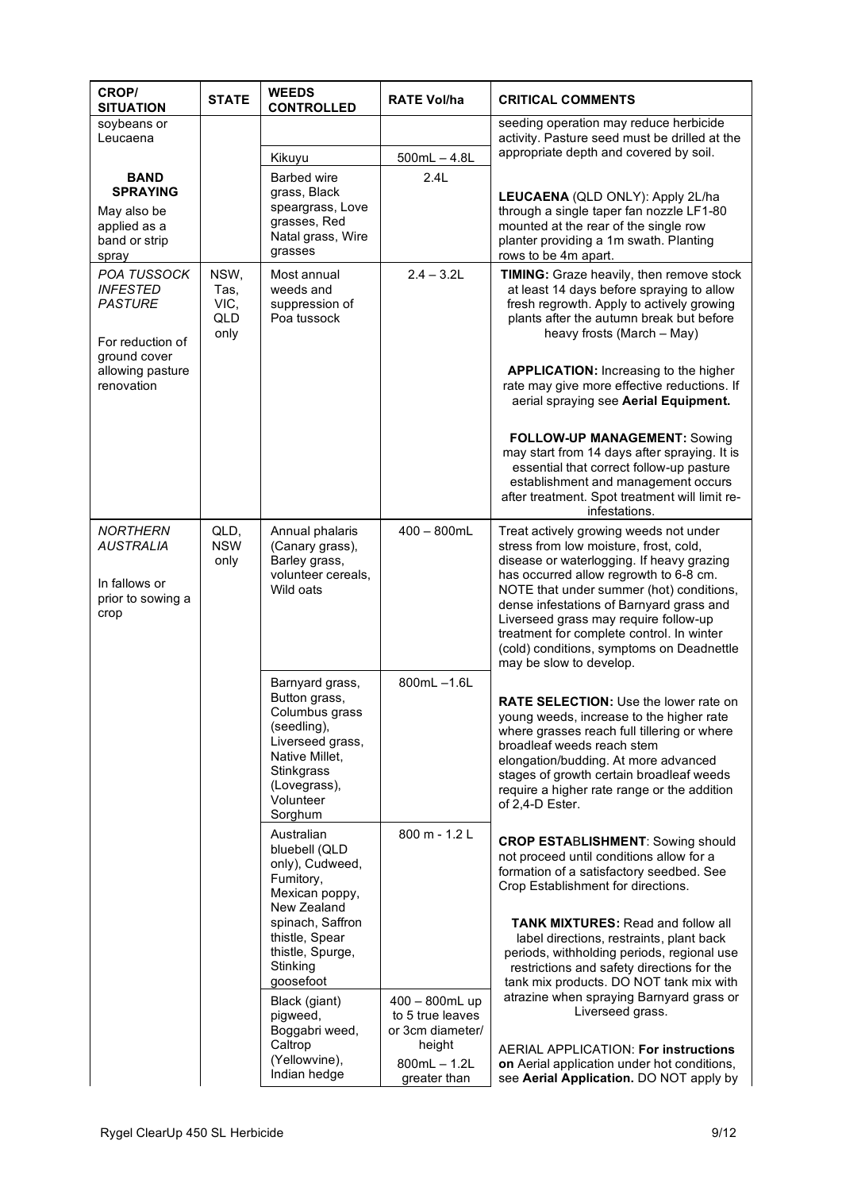| CROP/<br><b>SITUATION</b>                                                                                                     | <b>STATE</b>                        | <b>WEEDS</b><br><b>CONTROLLED</b>                                                                                                                                               | <b>RATE Vol/ha</b>                                                                                 | <b>CRITICAL COMMENTS</b>                                                                                                                                                                                                                                                                                                                                                                                                                                                                                                                                                                          |
|-------------------------------------------------------------------------------------------------------------------------------|-------------------------------------|---------------------------------------------------------------------------------------------------------------------------------------------------------------------------------|----------------------------------------------------------------------------------------------------|---------------------------------------------------------------------------------------------------------------------------------------------------------------------------------------------------------------------------------------------------------------------------------------------------------------------------------------------------------------------------------------------------------------------------------------------------------------------------------------------------------------------------------------------------------------------------------------------------|
| soybeans or<br>Leucaena                                                                                                       |                                     |                                                                                                                                                                                 |                                                                                                    | seeding operation may reduce herbicide<br>activity. Pasture seed must be drilled at the                                                                                                                                                                                                                                                                                                                                                                                                                                                                                                           |
|                                                                                                                               |                                     | Kikuyu                                                                                                                                                                          | $500mL - 4.8L$                                                                                     | appropriate depth and covered by soil.                                                                                                                                                                                                                                                                                                                                                                                                                                                                                                                                                            |
| <b>BAND</b><br><b>SPRAYING</b><br>May also be<br>applied as a<br>band or strip<br>spray                                       |                                     | <b>Barbed wire</b><br>grass, Black<br>speargrass, Love<br>grasses, Red<br>Natal grass, Wire<br>grasses                                                                          | 2.4L                                                                                               | LEUCAENA (QLD ONLY): Apply 2L/ha<br>through a single taper fan nozzle LF1-80<br>mounted at the rear of the single row<br>planter providing a 1m swath. Planting<br>rows to be 4m apart.                                                                                                                                                                                                                                                                                                                                                                                                           |
| <b>POA TUSSOCK</b><br><b>INFESTED</b><br><b>PASTURE</b><br>For reduction of<br>ground cover<br>allowing pasture<br>renovation | NSW,<br>Tas,<br>VIC,<br>QLD<br>only | Most annual<br>weeds and<br>suppression of<br>Poa tussock                                                                                                                       | $2.4 - 3.2L$                                                                                       | TIMING: Graze heavily, then remove stock<br>at least 14 days before spraying to allow<br>fresh regrowth. Apply to actively growing<br>plants after the autumn break but before<br>heavy frosts (March - May)<br><b>APPLICATION:</b> Increasing to the higher<br>rate may give more effective reductions. If<br>aerial spraying see Aerial Equipment.<br><b>FOLLOW-UP MANAGEMENT: Sowing</b><br>may start from 14 days after spraying. It is<br>essential that correct follow-up pasture<br>establishment and management occurs<br>after treatment. Spot treatment will limit re-<br>infestations. |
| <b>NORTHERN</b><br><b>AUSTRALIA</b><br>In fallows or<br>prior to sowing a<br>crop                                             | QLD,<br><b>NSW</b><br>only          | Annual phalaris<br>(Canary grass),<br>Barley grass,<br>volunteer cereals,<br>Wild oats                                                                                          | $400 - 800$ mL                                                                                     | Treat actively growing weeds not under<br>stress from low moisture, frost, cold,<br>disease or waterlogging. If heavy grazing<br>has occurred allow regrowth to 6-8 cm.<br>NOTE that under summer (hot) conditions,<br>dense infestations of Barnyard grass and<br>Liverseed grass may require follow-up<br>treatment for complete control. In winter<br>(cold) conditions, symptoms on Deadnettle<br>may be slow to develop.                                                                                                                                                                     |
|                                                                                                                               |                                     | Barnyard grass,<br>Button grass,<br>Columbus grass<br>(seedling),<br>Liverseed grass,<br>Native Millet,<br>Stinkgrass<br>(Lovegrass),<br>Volunteer<br>Sorghum                   | 800mL-1.6L                                                                                         | <b>RATE SELECTION: Use the lower rate on</b><br>young weeds, increase to the higher rate<br>where grasses reach full tillering or where<br>broadleaf weeds reach stem<br>elongation/budding. At more advanced<br>stages of growth certain broadleaf weeds<br>require a higher rate range or the addition<br>of 2,4-D Ester.                                                                                                                                                                                                                                                                       |
|                                                                                                                               |                                     | Australian<br>bluebell (QLD<br>only), Cudweed,<br>Fumitory,<br>Mexican poppy,<br>New Zealand<br>spinach, Saffron<br>thistle, Spear<br>thistle, Spurge,<br>Stinking<br>goosefoot | 800 m - 1.2 L                                                                                      | <b>CROP ESTABLISHMENT: Sowing should</b><br>not proceed until conditions allow for a<br>formation of a satisfactory seedbed. See<br>Crop Establishment for directions.<br><b>TANK MIXTURES: Read and follow all</b><br>label directions, restraints, plant back<br>periods, withholding periods, regional use<br>restrictions and safety directions for the<br>tank mix products. DO NOT tank mix with                                                                                                                                                                                            |
|                                                                                                                               |                                     | Black (giant)<br>pigweed,<br>Boggabri weed,<br>Caltrop<br>(Yellowvine),<br>Indian hedge                                                                                         | 400 - 800mL up<br>to 5 true leaves<br>or 3cm diameter/<br>height<br>$800mL - 1.2L$<br>greater than | atrazine when spraying Barnyard grass or<br>Liverseed grass.<br><b>AERIAL APPLICATION: For instructions</b><br>on Aerial application under hot conditions,<br>see Aerial Application. DO NOT apply by                                                                                                                                                                                                                                                                                                                                                                                             |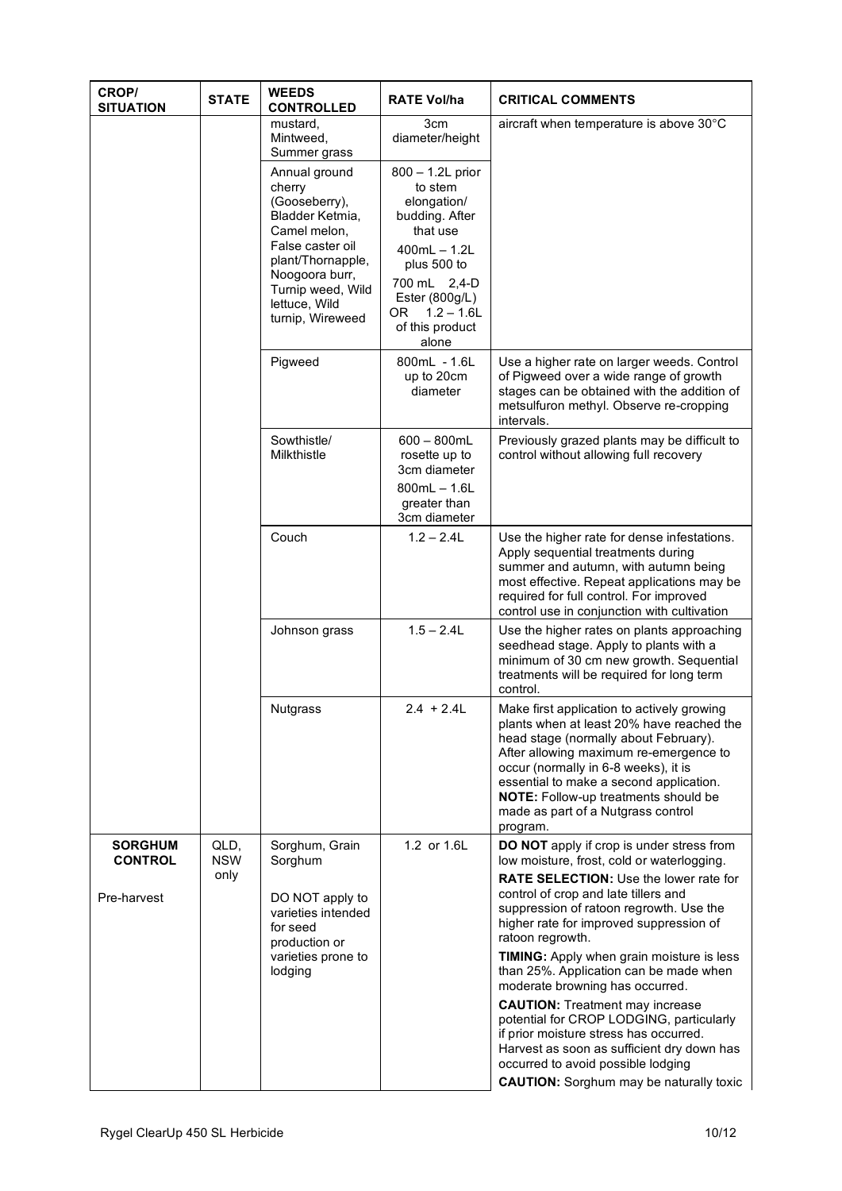| <b>CROP/</b><br><b>SITUATION</b>                | <b>STATE</b>               | <b>WEEDS</b><br><b>CONTROLLED</b>                                                                                                                                                                | <b>RATE Vol/ha</b>                                                                                                                                                                              | <b>CRITICAL COMMENTS</b>                                                                                                                                                                                                                                                                                                                                |
|-------------------------------------------------|----------------------------|--------------------------------------------------------------------------------------------------------------------------------------------------------------------------------------------------|-------------------------------------------------------------------------------------------------------------------------------------------------------------------------------------------------|---------------------------------------------------------------------------------------------------------------------------------------------------------------------------------------------------------------------------------------------------------------------------------------------------------------------------------------------------------|
|                                                 |                            | mustard,<br>Mintweed,<br>Summer grass                                                                                                                                                            | 3cm<br>diameter/height                                                                                                                                                                          | aircraft when temperature is above 30°C                                                                                                                                                                                                                                                                                                                 |
|                                                 |                            | Annual ground<br>cherry<br>(Gooseberry),<br>Bladder Ketmia,<br>Camel melon,<br>False caster oil<br>plant/Thornapple,<br>Noogoora burr,<br>Turnip weed, Wild<br>lettuce, Wild<br>turnip, Wireweed | 800 - 1.2L prior<br>to stem<br>elongation/<br>budding. After<br>that use<br>$400mL - 1.2L$<br>plus 500 to<br>700 mL 2,4-D<br>Ester (800g/L)<br>$1.2 - 1.6$ L<br>OR.<br>of this product<br>alone |                                                                                                                                                                                                                                                                                                                                                         |
|                                                 |                            | Pigweed                                                                                                                                                                                          | 800mL - 1.6L<br>up to 20cm<br>diameter                                                                                                                                                          | Use a higher rate on larger weeds. Control<br>of Pigweed over a wide range of growth<br>stages can be obtained with the addition of<br>metsulfuron methyl. Observe re-cropping<br>intervals.                                                                                                                                                            |
|                                                 |                            | Sowthistle/<br>Milkthistle                                                                                                                                                                       | $600 - 800mL$<br>rosette up to<br>3cm diameter<br>$800mL - 1.6L$<br>greater than<br>3cm diameter                                                                                                | Previously grazed plants may be difficult to<br>control without allowing full recovery                                                                                                                                                                                                                                                                  |
|                                                 |                            | Couch                                                                                                                                                                                            | $1.2 - 2.4L$                                                                                                                                                                                    | Use the higher rate for dense infestations.<br>Apply sequential treatments during<br>summer and autumn, with autumn being<br>most effective. Repeat applications may be<br>required for full control. For improved<br>control use in conjunction with cultivation                                                                                       |
|                                                 |                            | Johnson grass                                                                                                                                                                                    | $1.5 - 2.4L$                                                                                                                                                                                    | Use the higher rates on plants approaching<br>seedhead stage. Apply to plants with a<br>minimum of 30 cm new growth. Sequential<br>treatments will be required for long term<br>control.                                                                                                                                                                |
|                                                 |                            | Nutgrass                                                                                                                                                                                         | $2.4 + 2.4L$                                                                                                                                                                                    | Make first application to actively growing<br>plants when at least 20% have reached the<br>head stage (normally about February).<br>After allowing maximum re-emergence to<br>occur (normally in 6-8 weeks), it is<br>essential to make a second application.<br>NOTE: Follow-up treatments should be<br>made as part of a Nutgrass control<br>program. |
| <b>SORGHUM</b><br><b>CONTROL</b><br>Pre-harvest | QLD,<br><b>NSW</b><br>only | Sorghum, Grain<br>Sorghum<br>DO NOT apply to<br>varieties intended<br>for seed<br>production or<br>varieties prone to                                                                            | 1.2 or 1.6L                                                                                                                                                                                     | DO NOT apply if crop is under stress from<br>low moisture, frost, cold or waterlogging.<br><b>RATE SELECTION: Use the lower rate for</b><br>control of crop and late tillers and<br>suppression of ratoon regrowth. Use the<br>higher rate for improved suppression of<br>ratoon regrowth.<br>TIMING: Apply when grain moisture is less                 |
|                                                 |                            | lodging                                                                                                                                                                                          |                                                                                                                                                                                                 | than 25%. Application can be made when<br>moderate browning has occurred.<br><b>CAUTION:</b> Treatment may increase<br>potential for CROP LODGING, particularly<br>if prior moisture stress has occurred.<br>Harvest as soon as sufficient dry down has<br>occurred to avoid possible lodging<br><b>CAUTION:</b> Sorghum may be naturally toxic         |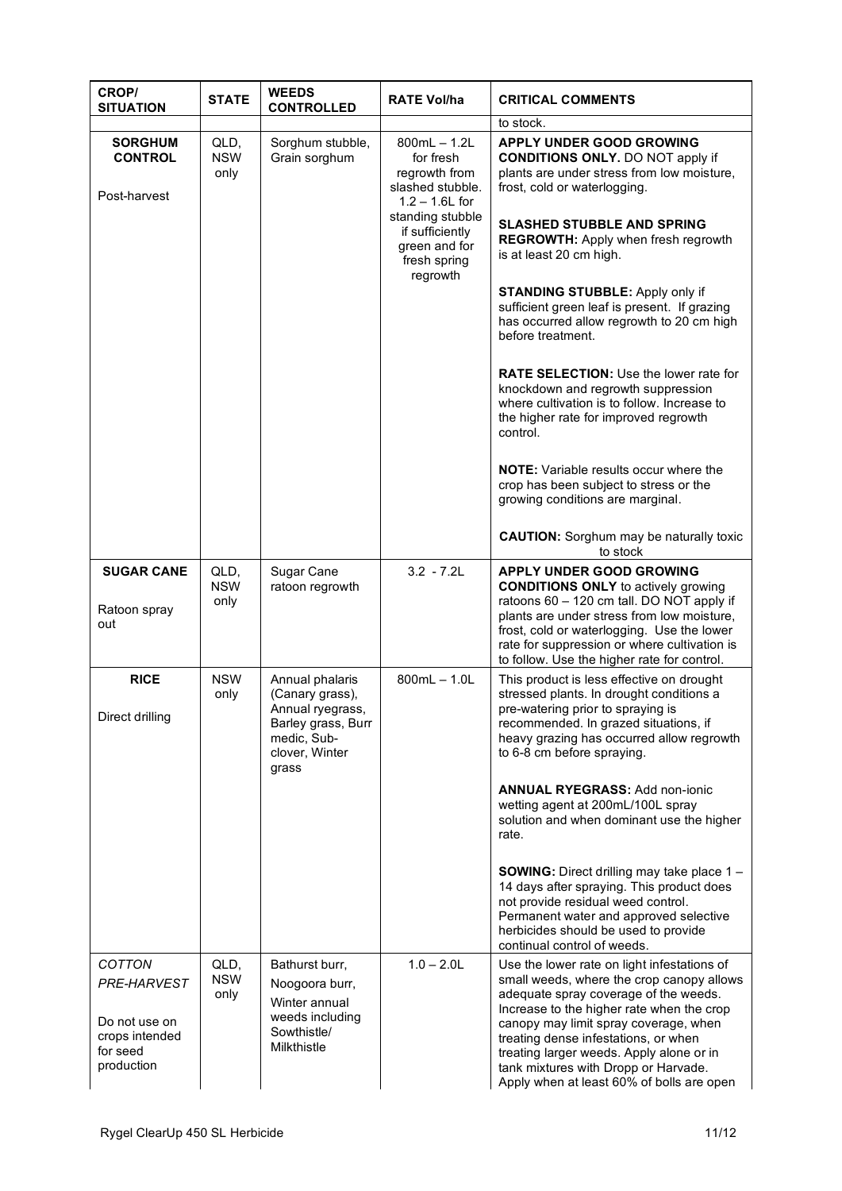| CROP/<br><b>SITUATION</b>                                                                 | <b>STATE</b>               | <b>WEEDS</b><br><b>CONTROLLED</b>                                                                                      | <b>RATE Vol/ha</b>                                                                    | <b>CRITICAL COMMENTS</b>                                                                                                                                                                                                                                                                                                                                                                         |
|-------------------------------------------------------------------------------------------|----------------------------|------------------------------------------------------------------------------------------------------------------------|---------------------------------------------------------------------------------------|--------------------------------------------------------------------------------------------------------------------------------------------------------------------------------------------------------------------------------------------------------------------------------------------------------------------------------------------------------------------------------------------------|
|                                                                                           |                            |                                                                                                                        |                                                                                       | to stock.                                                                                                                                                                                                                                                                                                                                                                                        |
| <b>SORGHUM</b><br><b>CONTROL</b><br>Post-harvest                                          | QLD,<br><b>NSW</b><br>only | Sorghum stubble,<br>Grain sorghum                                                                                      | $800mL - 1.2L$<br>for fresh<br>regrowth from<br>slashed stubble.<br>$1.2 - 1.6$ L for | <b>APPLY UNDER GOOD GROWING</b><br><b>CONDITIONS ONLY.</b> DO NOT apply if<br>plants are under stress from low moisture,<br>frost, cold or waterlogging.                                                                                                                                                                                                                                         |
|                                                                                           |                            |                                                                                                                        | standing stubble<br>if sufficiently<br>green and for<br>fresh spring<br>regrowth      | <b>SLASHED STUBBLE AND SPRING</b><br><b>REGROWTH:</b> Apply when fresh regrowth<br>is at least 20 cm high.                                                                                                                                                                                                                                                                                       |
|                                                                                           |                            |                                                                                                                        |                                                                                       | <b>STANDING STUBBLE:</b> Apply only if<br>sufficient green leaf is present. If grazing<br>has occurred allow regrowth to 20 cm high<br>before treatment.                                                                                                                                                                                                                                         |
|                                                                                           |                            |                                                                                                                        |                                                                                       | <b>RATE SELECTION: Use the lower rate for</b><br>knockdown and regrowth suppression<br>where cultivation is to follow. Increase to<br>the higher rate for improved regrowth<br>control.                                                                                                                                                                                                          |
|                                                                                           |                            |                                                                                                                        |                                                                                       | <b>NOTE:</b> Variable results occur where the<br>crop has been subject to stress or the<br>growing conditions are marginal.                                                                                                                                                                                                                                                                      |
|                                                                                           |                            |                                                                                                                        |                                                                                       | <b>CAUTION:</b> Sorghum may be naturally toxic<br>to stock                                                                                                                                                                                                                                                                                                                                       |
| <b>SUGAR CANE</b><br>Ratoon spray<br>out                                                  | QLD,<br><b>NSW</b><br>only | Sugar Cane<br>ratoon regrowth                                                                                          | $3.2 - 7.2L$                                                                          | <b>APPLY UNDER GOOD GROWING</b><br><b>CONDITIONS ONLY</b> to actively growing<br>ratoons 60 - 120 cm tall. DO NOT apply if<br>plants are under stress from low moisture,<br>frost, cold or waterlogging. Use the lower                                                                                                                                                                           |
|                                                                                           |                            |                                                                                                                        |                                                                                       | rate for suppression or where cultivation is<br>to follow. Use the higher rate for control.                                                                                                                                                                                                                                                                                                      |
| <b>RICE</b><br>Direct drilling                                                            | <b>NSW</b><br>only         | Annual phalaris<br>(Canary grass),<br>Annual ryegrass,<br>Barley grass, Burr<br>medic, Sub-<br>clover, Winter<br>grass | $800mL - 1.0L$                                                                        | This product is less effective on drought<br>stressed plants. In drought conditions a<br>pre-watering prior to spraying is<br>recommended. In grazed situations, if<br>heavy grazing has occurred allow regrowth<br>to 6-8 cm before spraying.                                                                                                                                                   |
|                                                                                           |                            |                                                                                                                        |                                                                                       | <b>ANNUAL RYEGRASS: Add non-ionic</b><br>wetting agent at 200mL/100L spray<br>solution and when dominant use the higher<br>rate.                                                                                                                                                                                                                                                                 |
|                                                                                           |                            |                                                                                                                        |                                                                                       | <b>SOWING:</b> Direct drilling may take place 1 -<br>14 days after spraying. This product does<br>not provide residual weed control.<br>Permanent water and approved selective<br>herbicides should be used to provide<br>continual control of weeds.                                                                                                                                            |
| <b>COTTON</b><br>PRE-HARVEST<br>Do not use on<br>crops intended<br>for seed<br>production | QLD,<br><b>NSW</b><br>only | Bathurst burr,<br>Noogoora burr,<br>Winter annual<br>weeds including<br>Sowthistle/<br>Milkthistle                     | $1.0 - 2.0$ L                                                                         | Use the lower rate on light infestations of<br>small weeds, where the crop canopy allows<br>adequate spray coverage of the weeds.<br>Increase to the higher rate when the crop<br>canopy may limit spray coverage, when<br>treating dense infestations, or when<br>treating larger weeds. Apply alone or in<br>tank mixtures with Dropp or Harvade.<br>Apply when at least 60% of bolls are open |